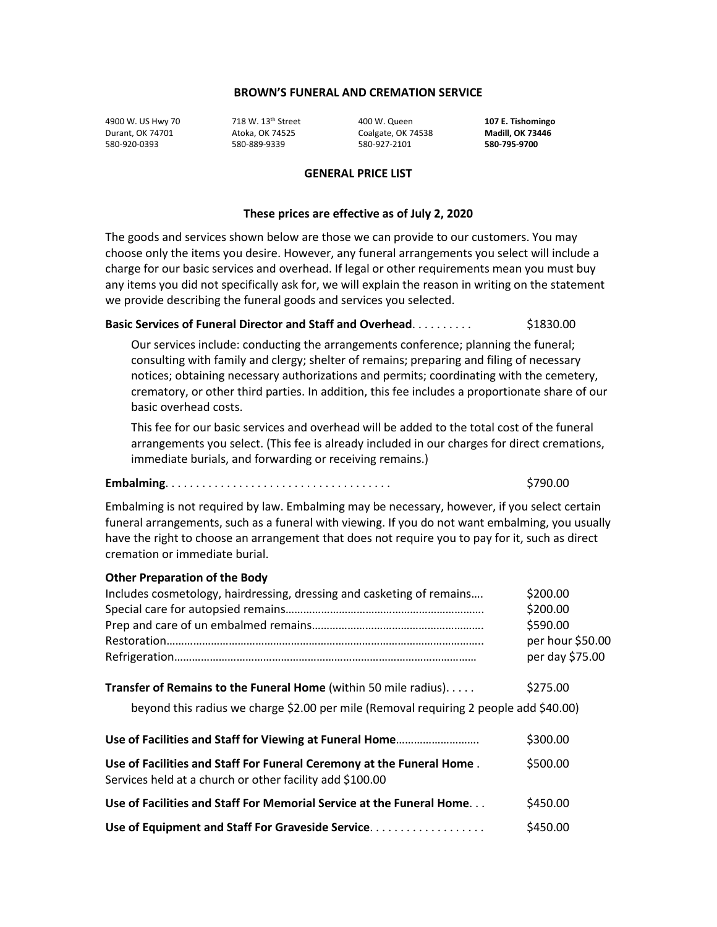4900 W. US Hwy 70 718 W. 13th Street 400 W. Queen **107 E. Tishomingo** Durant, OK 74701 Atoka, OK 74525 Coalgate, OK 74538 **Madill, OK 73446** 580-920-0393 580-889-9339 580-927-2101 **580-795-9700**

#### **GENERAL PRICE LIST**

#### **These prices are effective as of July 2, 2020**

The goods and services shown below are those we can provide to our customers. You may choose only the items you desire. However, any funeral arrangements you select will include a charge for our basic services and overhead. If legal or other requirements mean you must buy any items you did not specifically ask for, we will explain the reason in writing on the statement we provide describing the funeral goods and services you selected.

#### **Basic Services of Funeral Director and Staff and Overhead**. . . . . . . . . . \$1830.00

Our services include: conducting the arrangements conference; planning the funeral; consulting with family and clergy; shelter of remains; preparing and filing of necessary notices; obtaining necessary authorizations and permits; coordinating with the cemetery, crematory, or other third parties. In addition, this fee includes a proportionate share of our basic overhead costs.

This fee for our basic services and overhead will be added to the total cost of the funeral arrangements you select. (This fee is already included in our charges for direct cremations, immediate burials, and forwarding or receiving remains.)

#### **Embalming**. . . . . . . . . . . . . . . . . . . . . . . . . . . . . . . . . . . . . \$790.00

Embalming is not required by law. Embalming may be necessary, however, if you select certain funeral arrangements, such as a funeral with viewing. If you do not want embalming, you usually have the right to choose an arrangement that does not require you to pay for it, such as direct cremation or immediate burial.

| <b>Other Preparation of the Body</b>                                                                                              |                  |
|-----------------------------------------------------------------------------------------------------------------------------------|------------------|
| Includes cosmetology, hairdressing, dressing and casketing of remains                                                             | \$200.00         |
|                                                                                                                                   | \$200.00         |
|                                                                                                                                   | \$590.00         |
|                                                                                                                                   | per hour \$50.00 |
|                                                                                                                                   | per day \$75.00  |
| Transfer of Remains to the Funeral Home (within 50 mile radius)                                                                   | \$275.00         |
| beyond this radius we charge \$2.00 per mile (Removal requiring 2 people add \$40.00)                                             |                  |
|                                                                                                                                   | \$300.00         |
| Use of Facilities and Staff For Funeral Ceremony at the Funeral Home.<br>Services held at a church or other facility add \$100.00 | \$500.00         |
| Use of Facilities and Staff For Memorial Service at the Funeral Home                                                              | \$450.00         |
| Use of Equipment and Staff For Graveside Service                                                                                  | \$450.00         |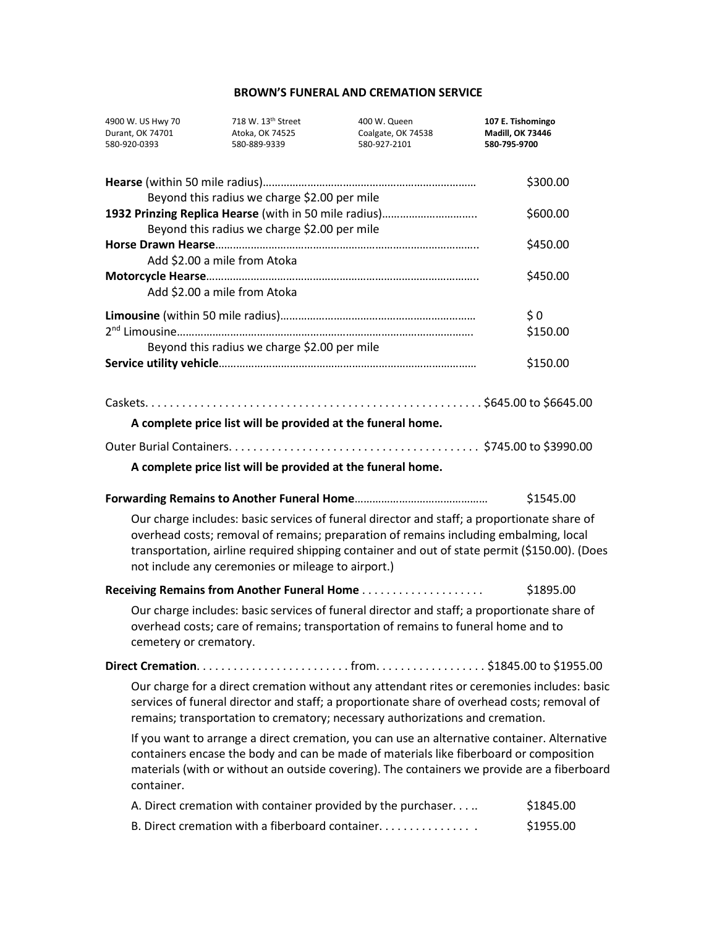| 4900 W. US Hwy 70<br>Durant, OK 74701<br>580-920-0393 | 718 W. 13 <sup>th</sup> Street<br>Atoka, OK 74525<br>580-889-9339 | 400 W. Queen<br>Coalgate, OK 74538<br>580-927-2101                                                                                                                                                                                                                                    | 107 E. Tishomingo<br><b>Madill, OK 73446</b><br>580-795-9700 |
|-------------------------------------------------------|-------------------------------------------------------------------|---------------------------------------------------------------------------------------------------------------------------------------------------------------------------------------------------------------------------------------------------------------------------------------|--------------------------------------------------------------|
|                                                       |                                                                   |                                                                                                                                                                                                                                                                                       | \$300.00                                                     |
|                                                       | Beyond this radius we charge \$2.00 per mile                      | 1932 Prinzing Replica Hearse (with in 50 mile radius)                                                                                                                                                                                                                                 | \$600.00                                                     |
|                                                       | Beyond this radius we charge \$2.00 per mile                      |                                                                                                                                                                                                                                                                                       |                                                              |
|                                                       | Add \$2.00 a mile from Atoka                                      |                                                                                                                                                                                                                                                                                       | \$450.00                                                     |
|                                                       |                                                                   |                                                                                                                                                                                                                                                                                       | \$450.00                                                     |
|                                                       | Add \$2.00 a mile from Atoka                                      |                                                                                                                                                                                                                                                                                       |                                                              |
|                                                       |                                                                   |                                                                                                                                                                                                                                                                                       | \$0                                                          |
|                                                       |                                                                   |                                                                                                                                                                                                                                                                                       | \$150.00                                                     |
|                                                       | Beyond this radius we charge \$2.00 per mile                      |                                                                                                                                                                                                                                                                                       |                                                              |
|                                                       |                                                                   |                                                                                                                                                                                                                                                                                       | \$150.00                                                     |
|                                                       | A complete price list will be provided at the funeral home.       |                                                                                                                                                                                                                                                                                       |                                                              |
|                                                       |                                                                   |                                                                                                                                                                                                                                                                                       |                                                              |
|                                                       | A complete price list will be provided at the funeral home.       |                                                                                                                                                                                                                                                                                       |                                                              |
|                                                       |                                                                   |                                                                                                                                                                                                                                                                                       |                                                              |
|                                                       |                                                                   |                                                                                                                                                                                                                                                                                       | \$1545.00                                                    |
|                                                       | not include any ceremonies or mileage to airport.)                | Our charge includes: basic services of funeral director and staff; a proportionate share of<br>overhead costs; removal of remains; preparation of remains including embalming, local<br>transportation, airline required shipping container and out of state permit (\$150.00). (Does |                                                              |
|                                                       |                                                                   |                                                                                                                                                                                                                                                                                       | \$1895.00                                                    |
| cemetery or crematory.                                |                                                                   | Our charge includes: basic services of funeral director and staff; a proportionate share of<br>overhead costs; care of remains; transportation of remains to funeral home and to                                                                                                      |                                                              |
|                                                       |                                                                   |                                                                                                                                                                                                                                                                                       |                                                              |
|                                                       |                                                                   | Our charge for a direct cremation without any attendant rites or ceremonies includes: basic<br>services of funeral director and staff; a proportionate share of overhead costs; removal of<br>remains; transportation to crematory; necessary authorizations and cremation.           |                                                              |
| container.                                            |                                                                   | If you want to arrange a direct cremation, you can use an alternative container. Alternative<br>containers encase the body and can be made of materials like fiberboard or composition<br>materials (with or without an outside covering). The containers we provide are a fiberboard |                                                              |
|                                                       |                                                                   | A. Direct cremation with container provided by the purchaser                                                                                                                                                                                                                          | \$1845.00                                                    |
|                                                       |                                                                   | B. Direct cremation with a fiberboard container.                                                                                                                                                                                                                                      | \$1955.00                                                    |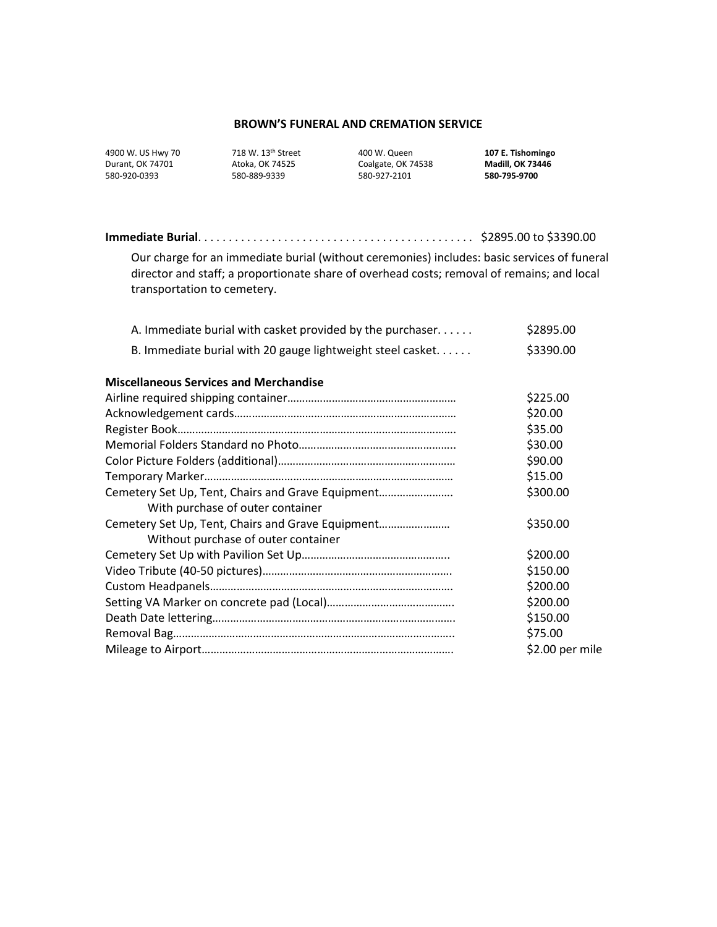| 4900 W. US Hwy 7 |
|------------------|
| Durant, OK 74701 |
| 580-920-0393     |

Atoka, OK 74525 **Coalgate, OK 74538** Madill, OK 734<br>1980-889-9339 580-927-2101 580-9795-9700

580-920-0393 580-889-9339 580-927-2101 **580-795-9700**

4900 W. US Hwy 70 718 W. 13th Street 400 W. Queen **107 E. Tishomingo**

| Our charge for an immediate burial (without ceremonies) includes: basic services of funeral<br>director and staff; a proportionate share of overhead costs; removal of remains; and local<br>transportation to cemetery. |           |
|--------------------------------------------------------------------------------------------------------------------------------------------------------------------------------------------------------------------------|-----------|
| A. Immediate burial with casket provided by the purchaser                                                                                                                                                                | \$2895.00 |
| B. Immediate burial with 20 gauge lightweight steel casket                                                                                                                                                               | \$3390.00 |
| <b>Miscellaneous Services and Merchandise</b>                                                                                                                                                                            |           |
|                                                                                                                                                                                                                          | \$225.00  |
|                                                                                                                                                                                                                          | \$20.00   |
|                                                                                                                                                                                                                          | \$35.00   |
|                                                                                                                                                                                                                          | \$30.00   |
|                                                                                                                                                                                                                          | \$90.00   |
|                                                                                                                                                                                                                          | \$15.00   |
| Cemetery Set Up, Tent, Chairs and Grave Equipment                                                                                                                                                                        | \$300.00  |
| With purchase of outer container                                                                                                                                                                                         |           |
| Cemetery Set Up, Tent, Chairs and Grave Equipment                                                                                                                                                                        | \$350.00  |
| Without purchase of outer container                                                                                                                                                                                      |           |
|                                                                                                                                                                                                                          | \$200.00  |
|                                                                                                                                                                                                                          | \$150.00  |
|                                                                                                                                                                                                                          | \$200.00  |
|                                                                                                                                                                                                                          | \$200.00  |

Death Date lettering………………………………………………………………………. \$150.00 Removal Bag………………………………………………………………………………….. \$75.00

Mileage to Airport…………………………………………………………………………. \$2.00 per mile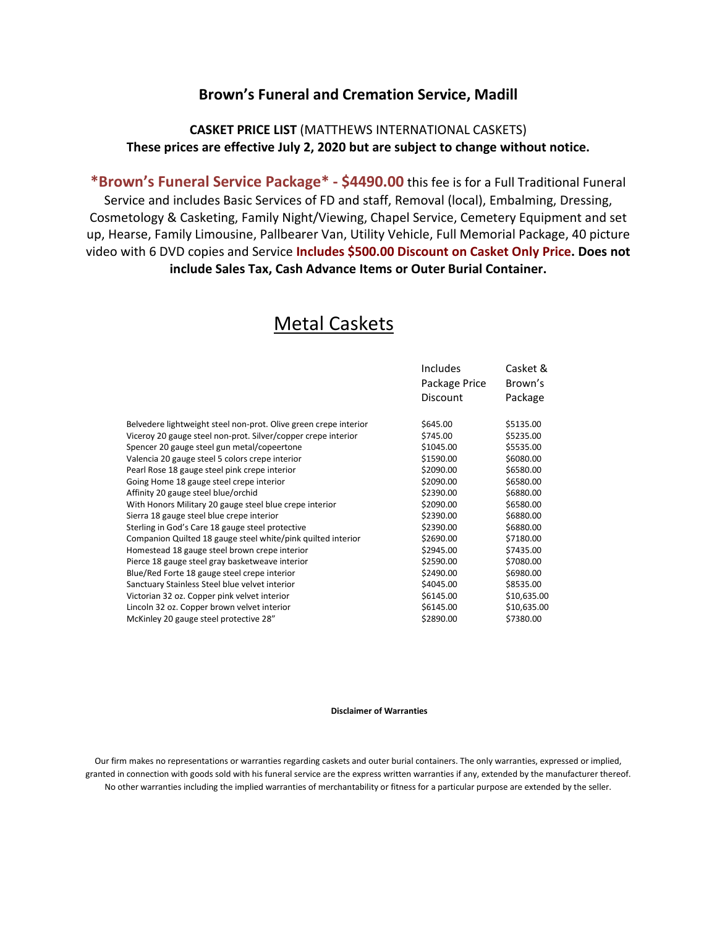# **Brown's Funeral and Cremation Service, Madill**

# **CASKET PRICE LIST** (MATTHEWS INTERNATIONAL CASKETS) **These prices are effective July 2, 2020 but are subject to change without notice.**

**\*Brown's Funeral Service Package\* - \$4490.00** this fee is for a Full Traditional Funeral Service and includes Basic Services of FD and staff, Removal (local), Embalming, Dressing, Cosmetology & Casketing, Family Night/Viewing, Chapel Service, Cemetery Equipment and set up, Hearse, Family Limousine, Pallbearer Van, Utility Vehicle, Full Memorial Package, 40 picture video with 6 DVD copies and Service **Includes \$500.00 Discount on Casket Only Price. Does not include Sales Tax, Cash Advance Items or Outer Burial Container.**

|                                                                  | <b>Includes</b> | Casket &    |
|------------------------------------------------------------------|-----------------|-------------|
|                                                                  | Package Price   | Brown's     |
|                                                                  | Discount        | Package     |
| Belvedere lightweight steel non-prot. Olive green crepe interior | \$645.00        | \$5135.00   |
| Viceroy 20 gauge steel non-prot. Silver/copper crepe interior    | \$745.00        | \$5235.00   |
| Spencer 20 gauge steel gun metal/copeertone                      | \$1045.00       | \$5535.00   |
| Valencia 20 gauge steel 5 colors crepe interior                  | \$1590.00       | \$6080.00   |
| Pearl Rose 18 gauge steel pink crepe interior                    | \$2090.00       | \$6580.00   |
| Going Home 18 gauge steel crepe interior                         | \$2090.00       | \$6580.00   |
| Affinity 20 gauge steel blue/orchid                              | \$2390.00       | \$6880.00   |
| With Honors Military 20 gauge steel blue crepe interior          | \$2090.00       | \$6580.00   |
| Sierra 18 gauge steel blue crepe interior                        | \$2390.00       | \$6880.00   |
| Sterling in God's Care 18 gauge steel protective                 | \$2390.00       | \$6880.00   |
| Companion Quilted 18 gauge steel white/pink quilted interior     | \$2690.00       | \$7180.00   |
| Homestead 18 gauge steel brown crepe interior                    | \$2945.00       | \$7435.00   |
| Pierce 18 gauge steel gray basketweave interior                  | \$2590.00       | \$7080.00   |
| Blue/Red Forte 18 gauge steel crepe interior                     | \$2490.00       | \$6980.00   |
| Sanctuary Stainless Steel blue velvet interior                   | \$4045.00       | \$8535.00   |
| Victorian 32 oz. Copper pink velvet interior                     | \$6145.00       | \$10,635.00 |
| Lincoln 32 oz. Copper brown velvet interior                      | \$6145.00       | \$10,635.00 |
| McKinley 20 gauge steel protective 28"                           | \$2890.00       | \$7380.00   |

# Metal Caskets

#### **Disclaimer of Warranties**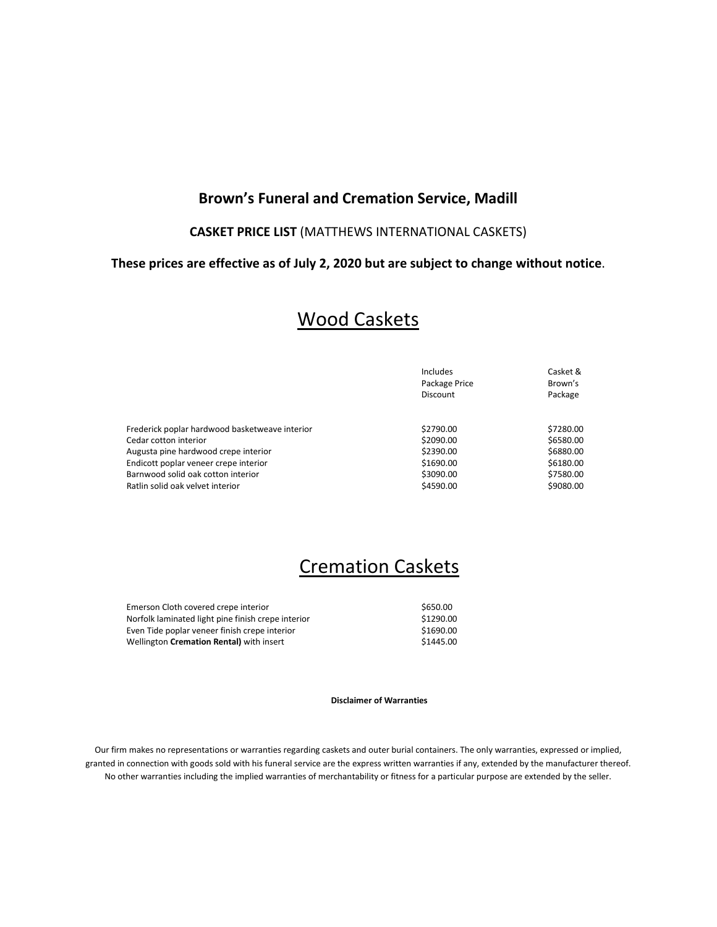# **Brown's Funeral and Cremation Service, Madill**

# **CASKET PRICE LIST** (MATTHEWS INTERNATIONAL CASKETS)

### **These prices are effective as of July 2, 2020 but are subject to change without notice**.

# Wood Caskets

|                                                | Includes        | Casket &  |
|------------------------------------------------|-----------------|-----------|
|                                                | Package Price   | Brown's   |
|                                                | <b>Discount</b> | Package   |
|                                                |                 |           |
| Frederick poplar hardwood basketweave interior | \$2790.00       | \$7280.00 |
| Cedar cotton interior                          | \$2090.00       | \$6580.00 |
| Augusta pine hardwood crepe interior           | \$2390.00       | \$6880.00 |
| Endicott poplar veneer crepe interior          | \$1690.00       | \$6180.00 |
| Barnwood solid oak cotton interior             | \$3090.00       | \$7580.00 |
| Ratlin solid oak velvet interior               | \$4590.00       | \$9080.00 |

# Cremation Caskets

| Emerson Cloth covered crepe interior               | \$650.00  |
|----------------------------------------------------|-----------|
| Norfolk laminated light pine finish crepe interior | \$1290.00 |
| Even Tide poplar veneer finish crepe interior      | \$1690.00 |
| Wellington Cremation Rental) with insert           | \$1445.00 |

**Disclaimer of Warranties**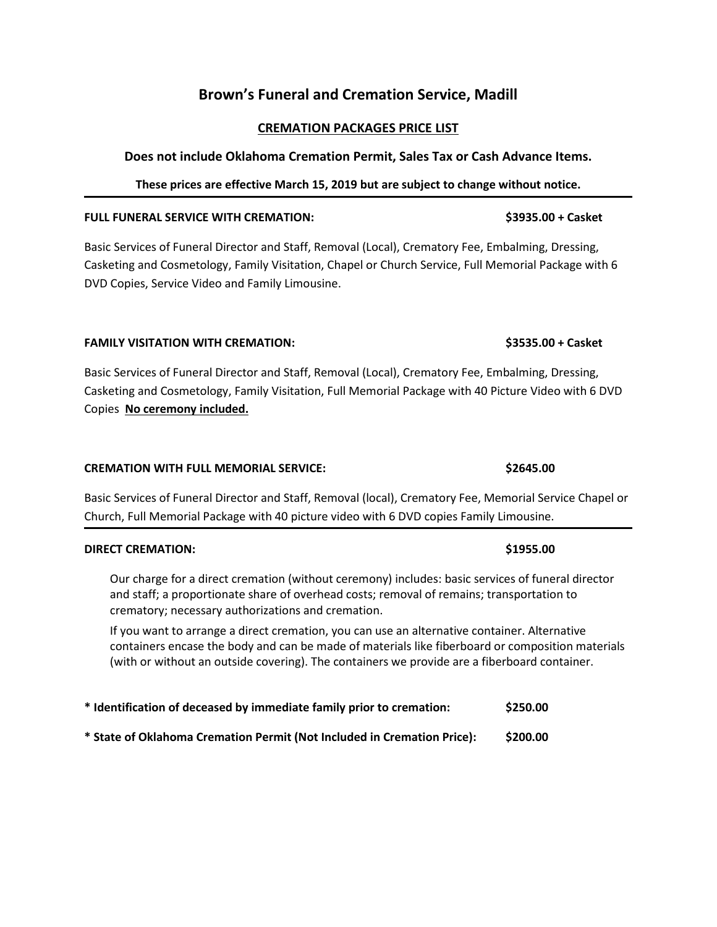# **Brown's Funeral and Cremation Service, Madill**

# **CREMATION PACKAGES PRICE LIST**

# **Does not include Oklahoma Cremation Permit, Sales Tax or Cash Advance Items.**

# **These prices are effective March 15, 2019 but are subject to change without notice.**

# **FULL FUNERAL SERVICE WITH CREMATION: \$3935.00 + Casket**

Basic Services of Funeral Director and Staff, Removal (Local), Crematory Fee, Embalming, Dressing, Casketing and Cosmetology, Family Visitation, Chapel or Church Service, Full Memorial Package with 6 DVD Copies, Service Video and Family Limousine.

# **FAMILY VISITATION WITH CREMATION: \$3535.00 + Casket**

Basic Services of Funeral Director and Staff, Removal (Local), Crematory Fee, Embalming, Dressing, Casketing and Cosmetology, Family Visitation, Full Memorial Package with 40 Picture Video with 6 DVD Copies **No ceremony included.** 

# **CREMATION WITH FULL MEMORIAL SERVICE: <b>\$2645.00** \$2645.00

Basic Services of Funeral Director and Staff, Removal (local), Crematory Fee, Memorial Service Chapel or Church, Full Memorial Package with 40 picture video with 6 DVD copies Family Limousine.

# **DIRECT CREMATION: \$1955.00**

Our charge for a direct cremation (without ceremony) includes: basic services of funeral director and staff; a proportionate share of overhead costs; removal of remains; transportation to crematory; necessary authorizations and cremation.

If you want to arrange a direct cremation, you can use an alternative container. Alternative containers encase the body and can be made of materials like fiberboard or composition materials (with or without an outside covering). The containers we provide are a fiberboard container.

| * Identification of deceased by immediate family prior to cremation:    | \$250.00 |
|-------------------------------------------------------------------------|----------|
| * State of Oklahoma Cremation Permit (Not Included in Cremation Price): | \$200.00 |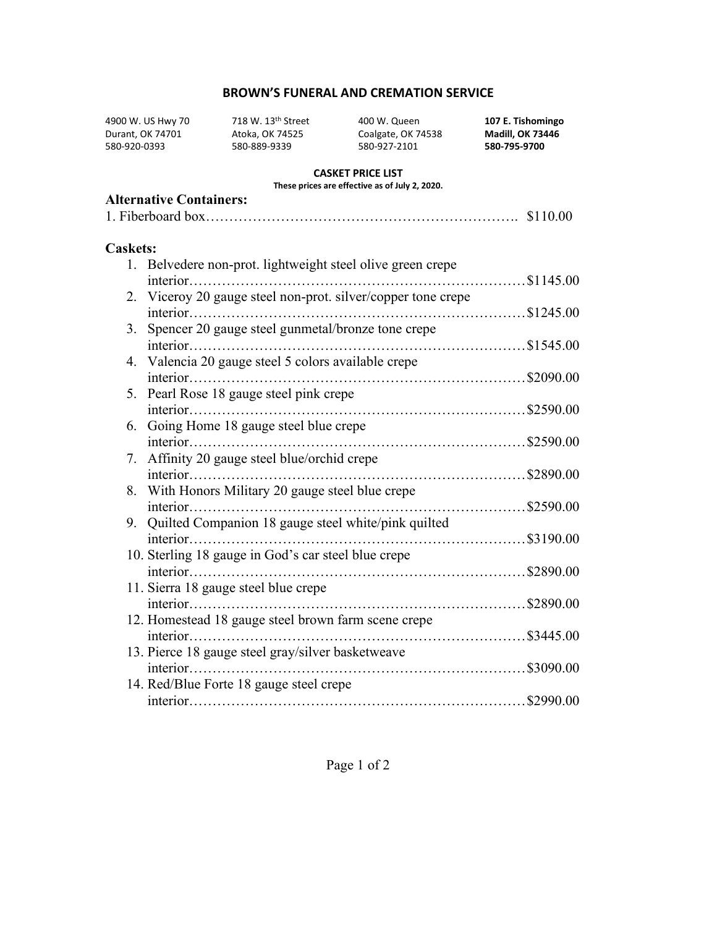4900 W. US Hwy 70 718 W. 13th Street 400 W. Queen **107 E. Tishomingo**

Durant, OK 74701 Atoka, OK 74525 Coalgate, OK 74538 **Madill, OK 73446** 580-920-0393 580-889-9339 580-927-2101 **580-795-9700**

#### **CASKET PRICE LIST**

**These prices are effective as of July 2, 2020.** 

## **Alternative Containers:**

|--|--|

## **Caskets:**

|    | 1. Belvedere non-prot. lightweight steel olive green crepe   |  |
|----|--------------------------------------------------------------|--|
|    | \$1145.00<br>interior                                        |  |
|    | 2. Viceroy 20 gauge steel non-prot. silver/copper tone crepe |  |
|    |                                                              |  |
| 3. | Spencer 20 gauge steel gunmetal/bronze tone crepe            |  |
|    |                                                              |  |
|    | 4. Valencia 20 gauge steel 5 colors available crepe          |  |
|    |                                                              |  |
|    | 5. Pearl Rose 18 gauge steel pink crepe                      |  |
|    |                                                              |  |
|    | 6. Going Home 18 gauge steel blue crepe                      |  |
|    |                                                              |  |
|    | 7. Affinity 20 gauge steel blue/orchid crepe                 |  |
|    |                                                              |  |
|    | 8. With Honors Military 20 gauge steel blue crepe            |  |
|    |                                                              |  |
|    | 9. Quilted Companion 18 gauge steel white/pink quilted       |  |
|    | $interior$                                                   |  |
|    | 10. Sterling 18 gauge in God's car steel blue crepe          |  |
|    |                                                              |  |
|    | 11. Sierra 18 gauge steel blue crepe                         |  |
|    |                                                              |  |
|    | 12. Homestead 18 gauge steel brown farm scene crepe          |  |
|    |                                                              |  |
|    | interior                                                     |  |
|    | 13. Pierce 18 gauge steel gray/silver basketweave            |  |
|    |                                                              |  |
|    | 14. Red/Blue Forte 18 gauge steel crepe                      |  |
|    |                                                              |  |

Page 1 of 2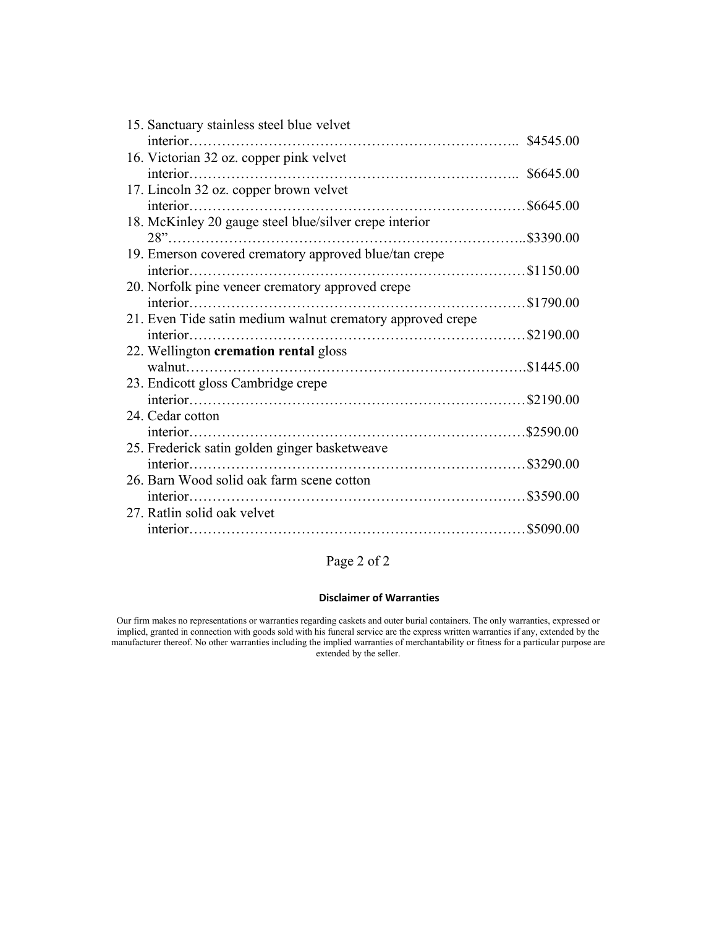| 15. Sanctuary stainless steel blue velvet                  |  |
|------------------------------------------------------------|--|
|                                                            |  |
| 16. Victorian 32 oz. copper pink velvet                    |  |
|                                                            |  |
| 17. Lincoln 32 oz. copper brown velvet                     |  |
|                                                            |  |
| 18. McKinley 20 gauge steel blue/silver crepe interior     |  |
|                                                            |  |
| 19. Emerson covered crematory approved blue/tan crepe      |  |
|                                                            |  |
| 20. Norfolk pine veneer crematory approved crepe           |  |
|                                                            |  |
| 21. Even Tide satin medium walnut crematory approved crepe |  |
|                                                            |  |
| 22. Wellington cremation rental gloss                      |  |
|                                                            |  |
| 23. Endicott gloss Cambridge crepe                         |  |
|                                                            |  |
| 24. Cedar cotton                                           |  |
|                                                            |  |
| 25. Frederick satin golden ginger basketweave              |  |
|                                                            |  |
| 26. Barn Wood solid oak farm scene cotton                  |  |
|                                                            |  |
| 27. Ratlin solid oak velvet                                |  |
|                                                            |  |
|                                                            |  |

Page 2 of 2

#### **Disclaimer of Warranties**